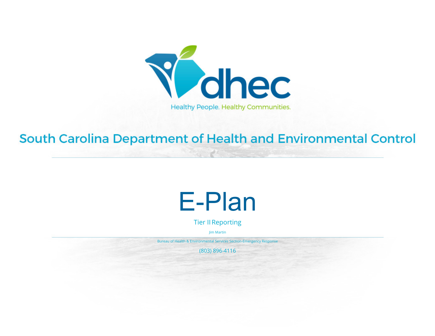

#### South Carolina Department of Health and Environmental Control

### E-Plan

Tier IIReporting

Jim Martin

Bureau of Health & Environmental Services Section-Emergency Response

(803) 896-4116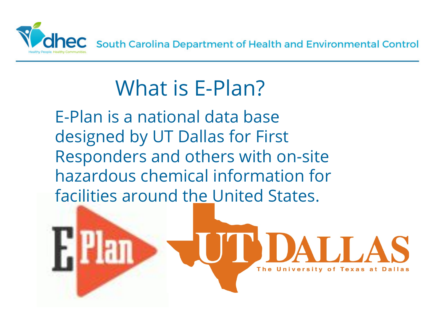

### What is E-Plan?

E-Plan is a national data base designed by UT Dallas for First Responders and others with on-site hazardous chemical information for facilities around the United States.

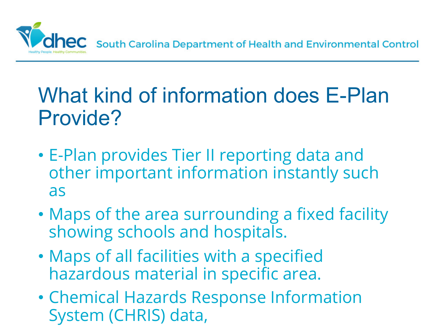

#### What kind of information does E-Plan Provide?

- E-Plan provides Tier II reporting data and other important information instantly such as
- Maps of the area surrounding a fixed facility showing schools and hospitals.
- Maps of all facilities with a specified hazardous material in specific area.
- Chemical Hazards Response Information System (CHRIS) data,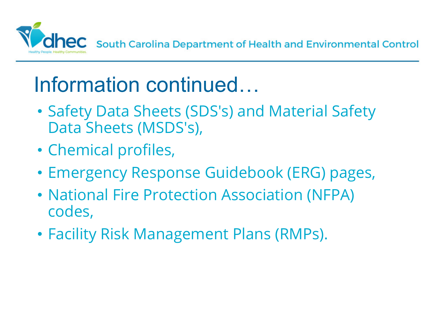

#### Information continued…

- Safety Data Sheets (SDS's) and Material Safety Data Sheets (MSDS's),
- Chemical profiles,
- Emergency Response Guidebook (ERG) pages,
- National Fire Protection Association (NFPA) codes,
- Facility Risk Management Plans (RMPs).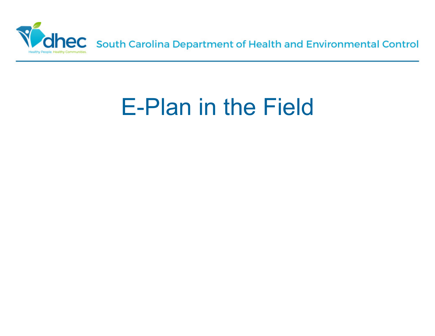

## E-Plan in the Field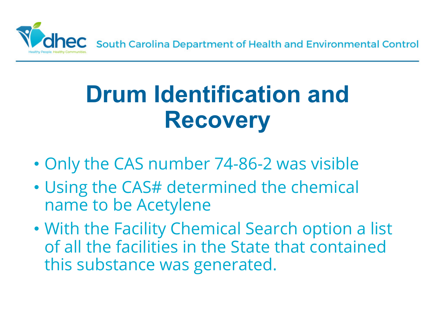

# **Drum Identification and Recovery**

- Only the CAS number 74-86-2 was visible
- Using the CAS# determined the chemical name to be Acetylene
- With the Facility Chemical Search option a list of all the facilities in the State that contained this substance was generated.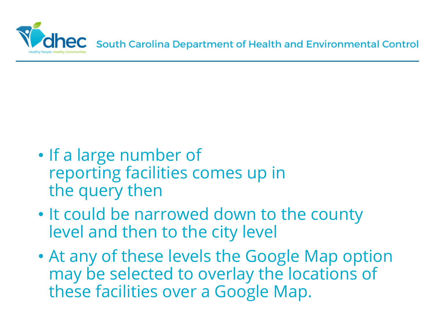

- If a large number of reporting facilities comes up in the query then
- It could be narrowed down to the county level and then to the city level
- At any of these levels the Google Map option may be selected to overlay the locations of these facilities over a Google Map.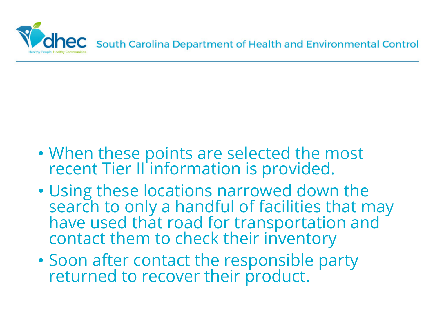

- When these points are selected the most recent Tier II information is provided.
- Using these locations narrowed down the search to only a handful of facilities that may have used that road for transportation and contact them to check their inventory
- Soon after contact the responsible party returned to recover their product.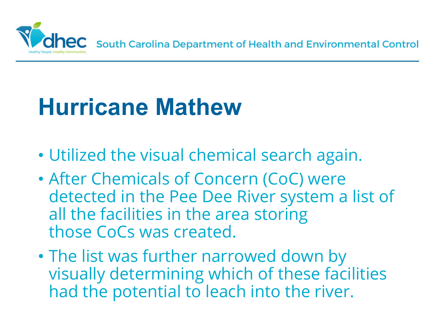

# **Hurricane Mathew**

- Utilized the visual chemical search again.
- After Chemicals of Concern (CoC) were detected in the Pee Dee River system a list of all the facilities in the area storing those CoCs was created.
- The list was further narrowed down by visually determining which of these facilities had the potential to leach into the river.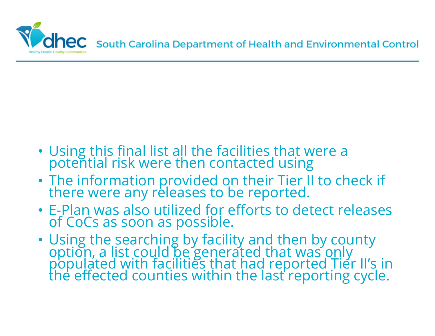

- Using this final list all the facilities that were a potential risk were then contacted using
- The information provided on their Tier II to check if there were any releases to be reported.
- E-Plan was also utilized for efforts to detect releases of CoCs as soon as possible.
- Using the searching by facility and then by county option, a list could be generated that was only populated with facilities that had reported Tier II's in the effected counties within the last reporting cycle.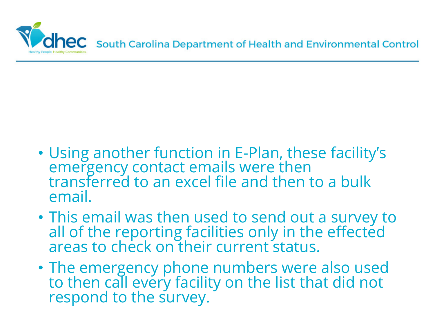

- Using another function in E-Plan, these facility's emergency contact emails were then transferred to an excel file and then to a bulk email.
- This email was then used to send out a survey to all of the reporting facilities only in the effected areas to check on their current status.
- The emergency phone numbers were also used to then call every facility on the list that did not respond to the survey.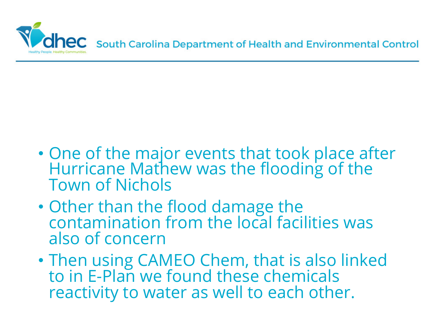

- One of the major events that took place after Hurricane Mathew was the flooding of the Town of Nichols
- Other than the flood damage the contamination from the local facilities was also of concern
- Then using CAMEO Chem, that is also linked to in E-Plan we found these chemicals reactivity to water as well to each other.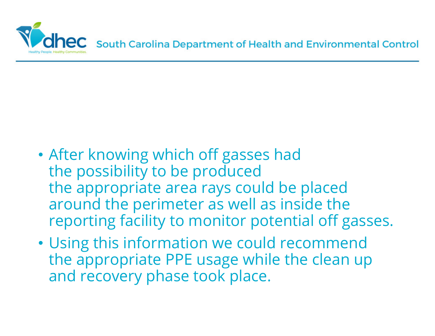

- After knowing which off gasses had the possibility to be produced the appropriate area rays could be placed around the perimeter as well as inside the reporting facility to monitor potential off gasses.
- Using this information we could recommend the appropriate PPE usage while the clean up and recovery phase took place.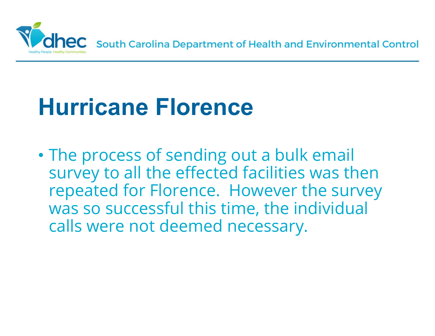

### **Hurricane Florence**

• The process of sending out a bulk email survey to all the effected facilities was then repeated for Florence. However the survey was so successful this time, the individual calls were not deemed necessary.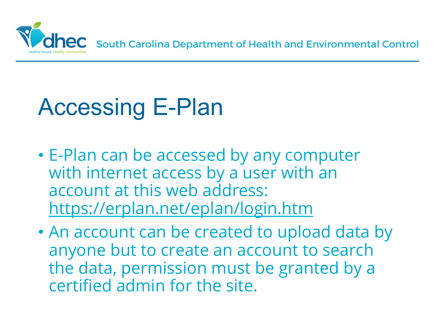

# Accessing E-Plan

- E-Plan can be accessed by any computer with internet access by a user with an account at this web address: https://erplan.net/eplan/login.htm
- An account can be created to upload data by anyone but to create an account to search the data, permission must be granted by a certified admin for the site.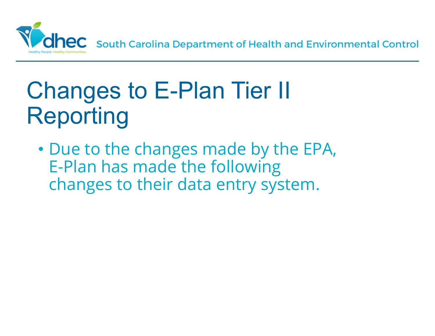

# Changes to E-Plan Tier II Reporting

• Due to the changes made by the EPA, E-Plan has made the following changes to their data entry system.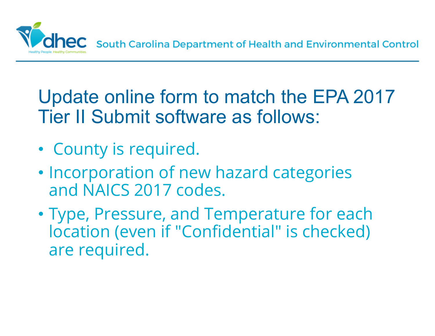

Update online form to match the EPA 2017 Tier II Submit software as follows:

- County is required.
- Incorporation of new hazard categories and NAICS 2017 codes.
- Type, Pressure, and Temperature for each location (even if "Confidential" is checked) are required.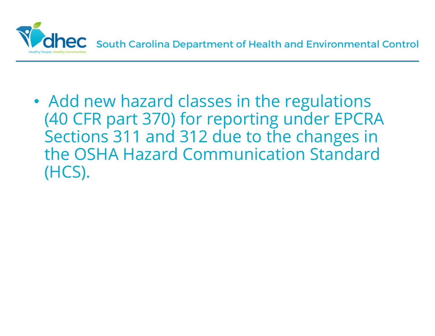

• Add new hazard classes in the regulations (40 CFR part 370) for reporting under EPCRA Sections 311 and 312 due to the changes in the OSHA Hazard Communication Standard (HCS).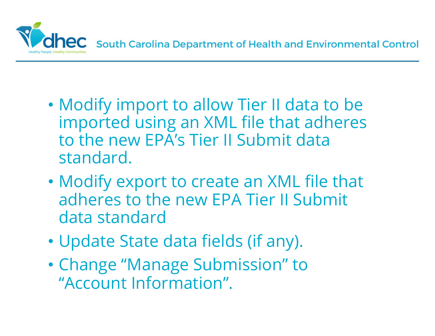

- Modify import to allow Tier II data to be imported using an XML file that adheres to the new EPA's Tier II Submit data standard.
- Modify export to create an XML file that adheres to the new EPA Tier II Submit data standard
- Update State data fields (if any).
- Change "Manage Submission" to "Account Information".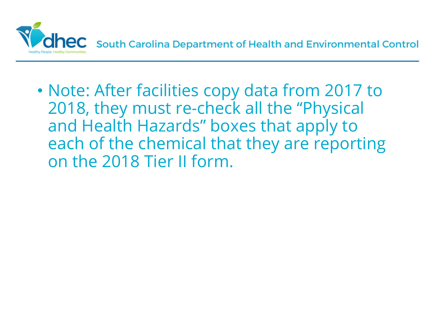

• Note: After facilities copy data from 2017 to 2018, they must re-check all the "Physical and Health Hazards" boxes that apply to each of the chemical that they are reporting on the 2018 Tier II form.